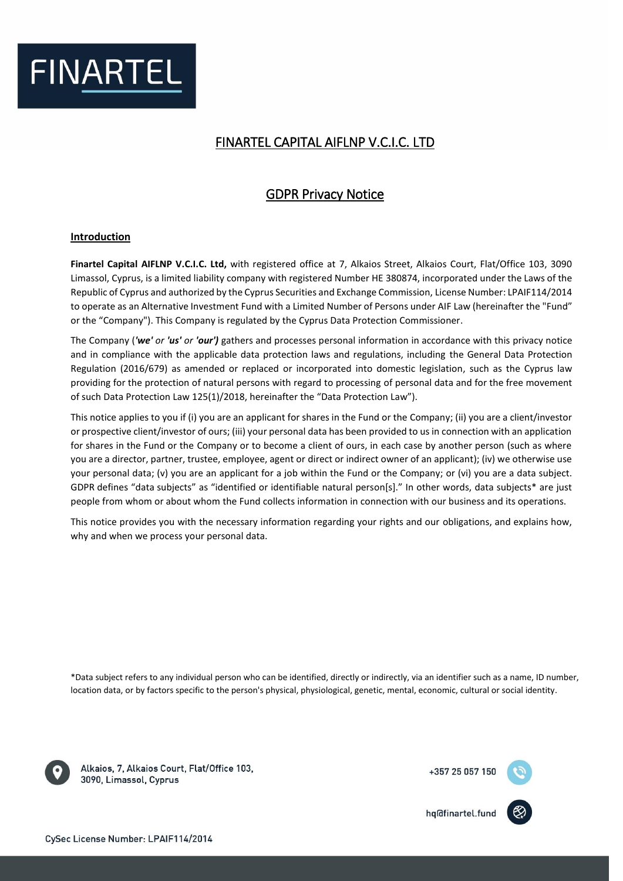

# FINARTEL CAPITAL AIFLNP V.C.I.C. LTD

# GDPR Privacy Notice

# **Introduction**

**Finartel Capital AIFLNP V.C.I.C. Ltd,** with registered office at 7, Alkaios Street, Alkaios Court, Flat/Office 103, 3090 Limassol, Cyprus, is a limited liability company with registered Number HE 380874, incorporated under the Laws of the Republic of Cyprus and authorized by the Cyprus Securities and Exchange Commission, License Number: LPAIF114/2014 to operate as an Alternative Investment Fund with a Limited Number of Persons under AIF Law (hereinafter the "Fund" or the "Company"). This Company is regulated by the Cyprus Data Protection Commissioner.

The Company (*'we' or 'us' or 'our')* gathers and processes personal information in accordance with this privacy notice and in compliance with the applicable data protection laws and regulations, including the General Data Protection Regulation (2016/679) as amended or replaced or incorporated into domestic legislation, such as the Cyprus law providing for the protection of natural persons with regard to processing of personal data and for the free movement of such Data Protection Law 125(1)/2018, hereinafter the "Data Protection Law").

This notice applies to you if (i) you are an applicant for shares in the Fund or the Company; (ii) you are a client/investor or prospective client/investor of ours; (iii) your personal data has been provided to us in connection with an application for shares in the Fund or the Company or to become a client of ours, in each case by another person (such as where you are a director, partner, trustee, employee, agent or direct or indirect owner of an applicant); (iv) we otherwise use your personal data; (v) you are an applicant for a job within the Fund or the Company; or (vi) you are a data subject. GDPR defines "data subjects" as "identified or identifiable natural person[s]." In other words, data subjects\* are just people from whom or about whom the Fund collects information in connection with our business and its operations.

This notice provides you with the necessary information regarding your rights and our obligations, and explains how, why and when we process your personal data.

\*Data subject refers to any individual person who can be identified, directly or indirectly, via an identifier such as a name, ID number, location data, or by factors specific to the person's physical, physiological, genetic, mental, economic, cultural or social identity.



Alkaios, 7, Alkaios Court, Flat/Office 103, 3090, Limassol, Cyprus

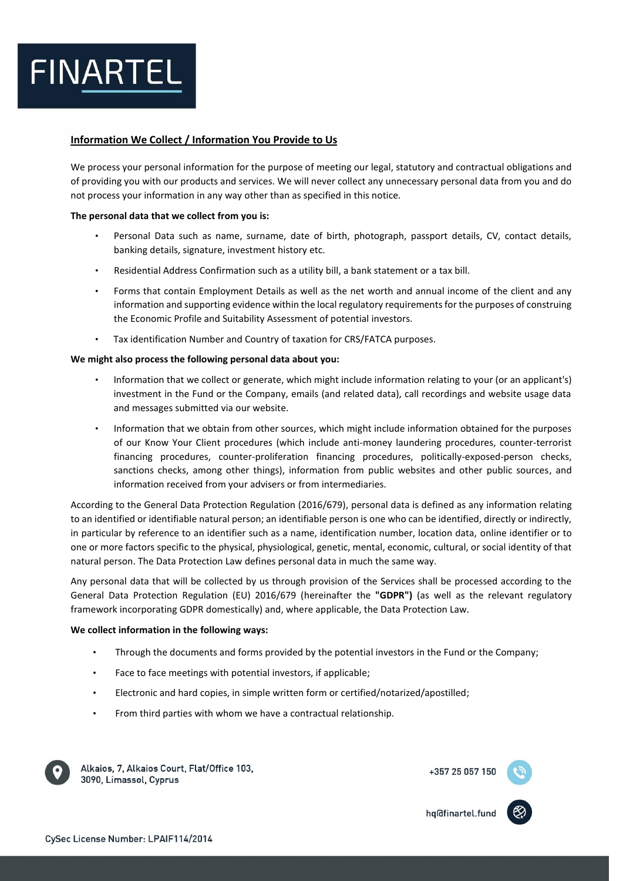

## **Information We Collect / Information You Provide to Us**

We process your personal information for the purpose of meeting our legal, statutory and contractual obligations and of providing you with our products and services. We will never collect any unnecessary personal data from you and do not process your information in any way other than as specified in this notice.

#### **The personal data that we collect from you is:**

- Personal Data such as name, surname, date of birth, photograph, passport details, CV, contact details, banking details, signature, investment history etc.
- Residential Address Confirmation such as a utility bill, a bank statement or a tax bill.
- Forms that contain Employment Details as well as the net worth and annual income of the client and any information and supporting evidence within the local regulatory requirements for the purposes of construing the Economic Profile and Suitability Assessment of potential investors.
- Tax identification Number and Country of taxation for CRS/FATCA purposes.

#### **We might also process the following personal data about you:**

- Information that we collect or generate, which might include information relating to your (or an applicant's) investment in the Fund or the Company, emails (and related data), call recordings and website usage data and messages submitted via our website.
- Information that we obtain from other sources, which might include information obtained for the purposes of our Know Your Client procedures (which include anti-money laundering procedures, counter-terrorist financing procedures, counter-proliferation financing procedures, politically-exposed-person checks, sanctions checks, among other things), information from public websites and other public sources, and information received from your advisers or from intermediaries.

According to the General Data Protection Regulation (2016/679), personal data is defined as any information relating to an identified or identifiable natural person; an identifiable person is one who can be identified, directly or indirectly, in particular by reference to an identifier such as a name, identification number, location data, online identifier or to one or more factors specific to the physical, physiological, genetic, mental, economic, cultural, or social identity of that natural person. The Data Protection Law defines personal data in much the same way.

Any personal data that will be collected by us through provision of the Services shall be processed according to the General Data Protection Regulation (EU) 2016/679 (hereinafter the **"GDPR")** (as well as the relevant regulatory framework incorporating GDPR domestically) and, where applicable, the Data Protection Law.

#### **We collect information in the following ways:**

- Through the documents and forms provided by the potential investors in the Fund or the Company;
- Face to face meetings with potential investors, if applicable;
- Electronic and hard copies, in simple written form or certified/notarized/apostilled;
- From third parties with whom we have a contractual relationship.



Alkaios, 7, Alkaios Court, Flat/Office 103, 3090, Limassol, Cyprus



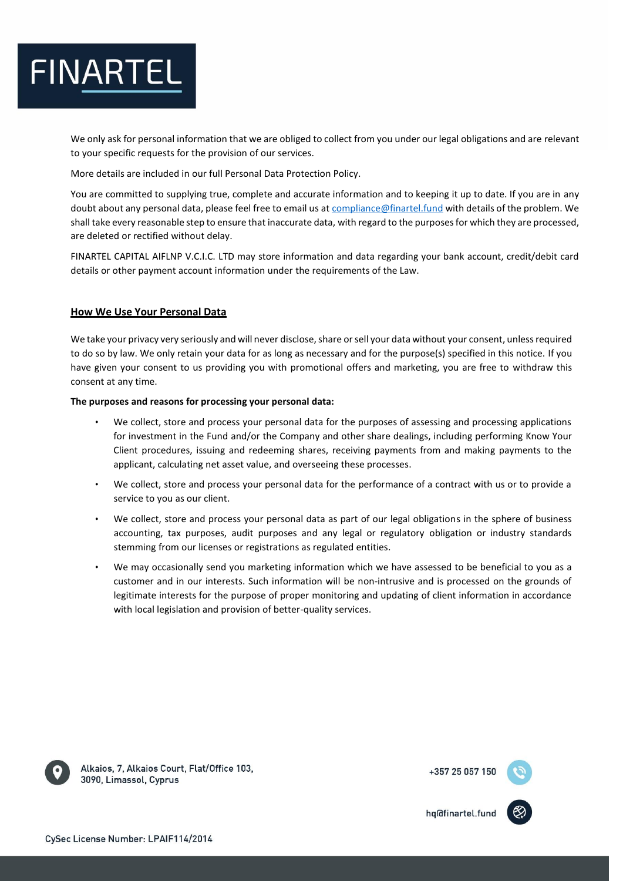

We only ask for personal information that we are obliged to collect from you under our legal obligations and are relevant to your specific requests for the provision of our services.

More details are included in our full Personal Data Protection Policy.

You are committed to supplying true, complete and accurate information and to keeping it up to date. If you are in any doubt about any personal data, please feel free to email us a[t compliance@finartel.fund](mailto:compliance@finartel.fund) with details of the problem. We shall take every reasonable step to ensure that inaccurate data, with regard to the purposes for which they are processed, are deleted or rectified without delay.

FINARTEL CAPITAL AIFLNP V.C.I.C. LTD may store information and data regarding your bank account, credit/debit card details or other payment account information under the requirements of the Law.

# **How We Use Your Personal Data**

We take your privacy very seriously and will never disclose, share or sell your data without your consent, unlessrequired to do so by law. We only retain your data for as long as necessary and for the purpose(s) specified in this notice. If you have given your consent to us providing you with promotional offers and marketing, you are free to withdraw this consent at any time.

**The purposes and reasons for processing your personal data:**

- We collect, store and process your personal data for the purposes of assessing and processing applications for investment in the Fund and/or the Company and other share dealings, including performing Know Your Client procedures, issuing and redeeming shares, receiving payments from and making payments to the applicant, calculating net asset value, and overseeing these processes.
- We collect, store and process your personal data for the performance of a contract with us or to provide a service to you as our client.
- We collect, store and process your personal data as part of our legal obligations in the sphere of business accounting, tax purposes, audit purposes and any legal or regulatory obligation or industry standards stemming from our licenses or registrations as regulated entities.
- We may occasionally send you marketing information which we have assessed to be beneficial to you as a customer and in our interests. Such information will be non-intrusive and is processed on the grounds of legitimate interests for the purpose of proper monitoring and updating of client information in accordance with local legislation and provision of better-quality services.



Alkaios, 7, Alkaios Court, Flat/Office 103, 3090, Limassol, Cyprus



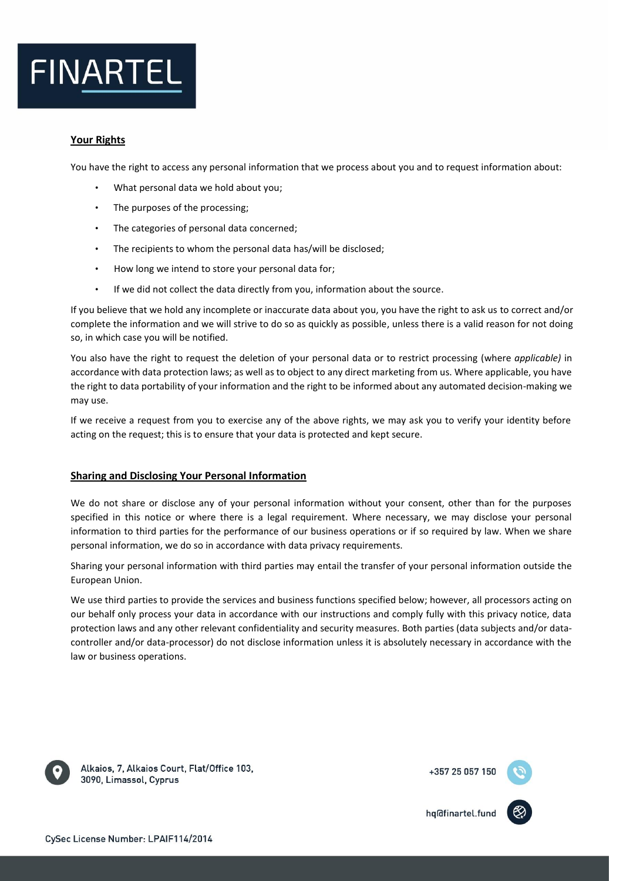

# **Your Rights**

You have the right to access any personal information that we process about you and to request information about:

- What personal data we hold about you;
- The purposes of the processing;
- The categories of personal data concerned;
- The recipients to whom the personal data has/will be disclosed;
- How long we intend to store your personal data for;
- If we did not collect the data directly from you, information about the source.

If you believe that we hold any incomplete or inaccurate data about you, you have the right to ask us to correct and/or complete the information and we will strive to do so as quickly as possible, unless there is a valid reason for not doing so, in which case you will be notified.

You also have the right to request the deletion of your personal data or to restrict processing (where *applicable)* in accordance with data protection laws; as well as to object to any direct marketing from us. Where applicable, you have the right to data portability of your information and the right to be informed about any automated decision-making we may use.

If we receive a request from you to exercise any of the above rights, we may ask you to verify your identity before acting on the request; this is to ensure that your data is protected and kept secure.

### **Sharing and Disclosing Your Personal Information**

We do not share or disclose any of your personal information without your consent, other than for the purposes specified in this notice or where there is a legal requirement. Where necessary, we may disclose your personal information to third parties for the performance of our business operations or if so required by law. When we share personal information, we do so in accordance with data privacy requirements.

Sharing your personal information with third parties may entail the transfer of your personal information outside the European Union.

We use third parties to provide the services and business functions specified below; however, all processors acting on our behalf only process your data in accordance with our instructions and comply fully with this privacy notice, data protection laws and any other relevant confidentiality and security measures. Both parties (data subjects and/or datacontroller and/or data-processor) do not disclose information unless it is absolutely necessary in accordance with the law or business operations.



Alkaios, 7, Alkaios Court, Flat/Office 103, 3090, Limassol, Cyprus



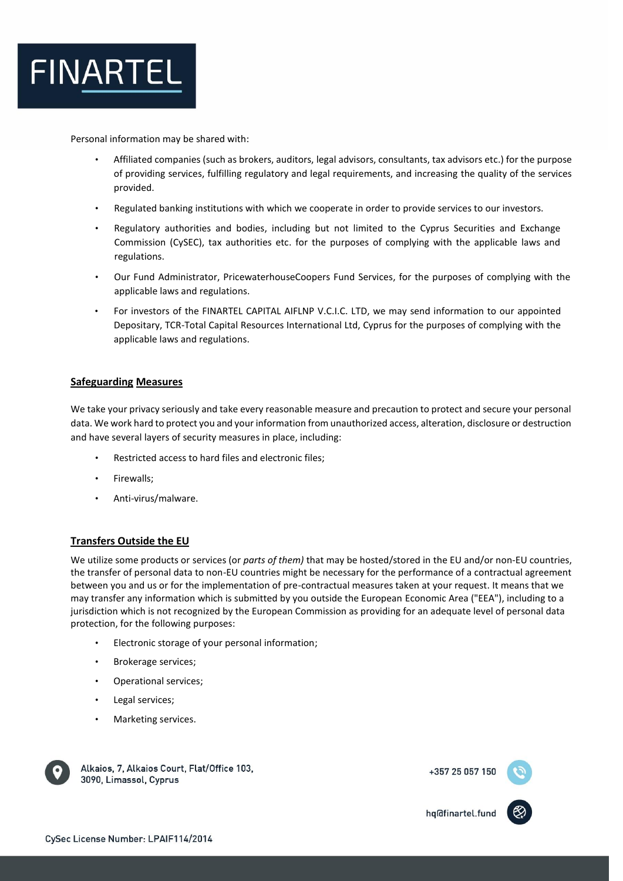

Personal information may be shared with:

- Affiliated companies (such as brokers, auditors, legal advisors, consultants, tax advisors etc.) for the purpose of providing services, fulfilling regulatory and legal requirements, and increasing the quality of the services provided.
- Regulated banking institutions with which we cooperate in order to provide services to our investors.
- Regulatory authorities and bodies, including but not limited to the Cyprus Securities and Exchange Commission (CySEC), tax authorities etc. for the purposes of complying with the applicable laws and regulations.
- Our Fund Administrator, PricewaterhouseCoopers Fund Services, for the purposes of complying with the applicable laws and regulations.
- For investors of the FINARTEL CAPITAL AIFLNP V.C.I.C. LTD, we may send information to our appointed Depositary, TCR-Total Capital Resources International Ltd, Cyprus for the purposes of complying with the applicable laws and regulations.

# **Safeguarding Measures**

We take your privacy seriously and take every reasonable measure and precaution to protect and secure your personal data. We work hard to protect you and your information from unauthorized access, alteration, disclosure or destruction and have several layers of security measures in place, including:

- Restricted access to hard files and electronic files;
- Firewalls;
- Anti-virus/malware.

### **Transfers Outside the EU**

We utilize some products or services (or *parts of them)* that may be hosted/stored in the EU and/or non-EU countries, the transfer of personal data to non-EU countries might be necessary for the performance of a contractual agreement between you and us or for the implementation of pre-contractual measures taken at your request. It means that we may transfer any information which is submitted by you outside the European Economic Area ("EEA"), including to a jurisdiction which is not recognized by the European Commission as providing for an adequate level of personal data protection, for the following purposes:

- Electronic storage of your personal information;
- Brokerage services;
- Operational services;
- Legal services;
- Marketing services.



Alkaios, 7, Alkaios Court, Flat/Office 103, 3090, Limassol, Cyprus

+357 25 057 150

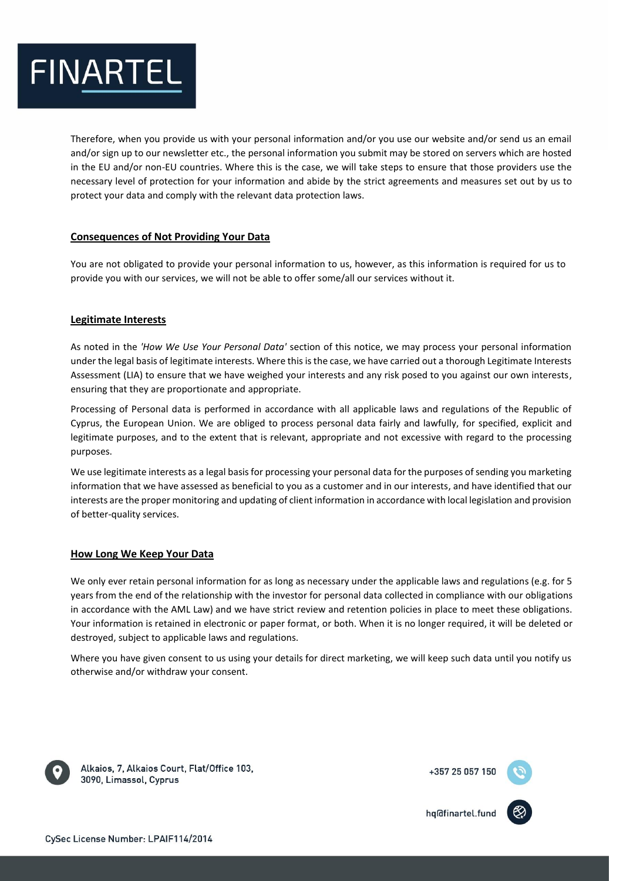

Therefore, when you provide us with your personal information and/or you use our website and/or send us an email and/or sign up to our newsletter etc., the personal information you submit may be stored on servers which are hosted in the EU and/or non-EU countries. Where this is the case, we will take steps to ensure that those providers use the necessary level of protection for your information and abide by the strict agreements and measures set out by us to protect your data and comply with the relevant data protection laws.

# **Consequences of Not Providing Your Data**

You are not obligated to provide your personal information to us, however, as this information is required for us to provide you with our services, we will not be able to offer some/all our services without it.

# **Legitimate Interests**

As noted in the *'How We Use Your Personal Data'* section of this notice, we may process your personal information under the legal basis of legitimate interests. Where this is the case, we have carried out a thorough Legitimate Interests Assessment (LIA) to ensure that we have weighed your interests and any risk posed to you against our own interests, ensuring that they are proportionate and appropriate.

Processing of Personal data is performed in accordance with all applicable laws and regulations of the Republic of Cyprus, the European Union. We are obliged to process personal data fairly and lawfully, for specified, explicit and legitimate purposes, and to the extent that is relevant, appropriate and not excessive with regard to the processing purposes.

We use legitimate interests as a legal basis for processing your personal data for the purposes of sending you marketing information that we have assessed as beneficial to you as a customer and in our interests, and have identified that our interests are the proper monitoring and updating of client information in accordance with local legislation and provision of better-quality services.

### **How Long We Keep Your Data**

We only ever retain personal information for as long as necessary under the applicable laws and regulations (e.g. for 5 years from the end of the relationship with the investor for personal data collected in compliance with our obligations in accordance with the AML Law) and we have strict review and retention policies in place to meet these obligations. Your information is retained in electronic or paper format, or both. When it is no longer required, it will be deleted or destroyed, subject to applicable laws and regulations.

Where you have given consent to us using your details for direct marketing, we will keep such data until you notify us otherwise and/or withdraw your consent.



Alkaios, 7, Alkaios Court, Flat/Office 103, 3090, Limassol, Cyprus



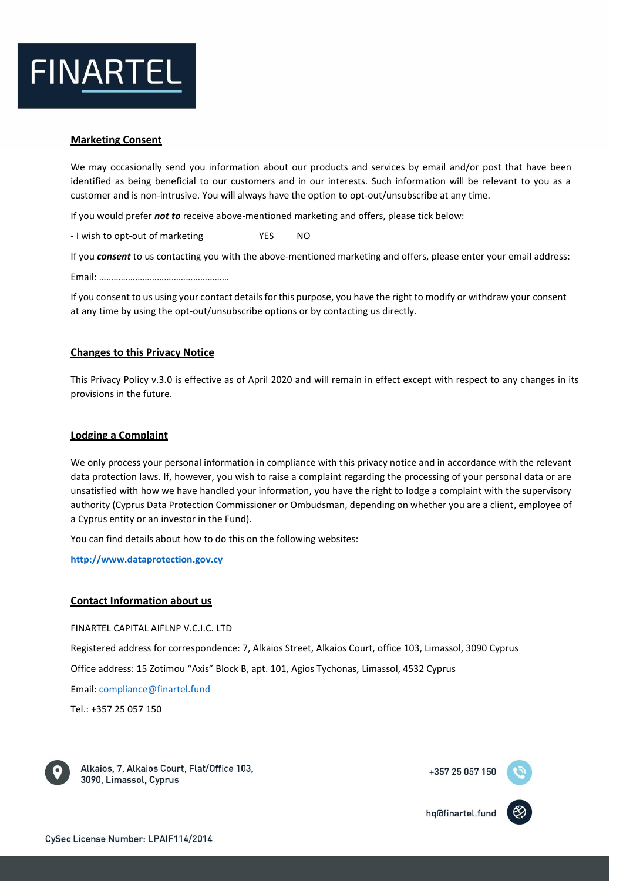

## **Marketing Consent**

We may occasionally send you information about our products and services by email and/or post that have been identified as being beneficial to our customers and in our interests. Such information will be relevant to you as a customer and is non-intrusive. You will always have the option to opt-out/unsubscribe at any time.

If you would prefer *not to* receive above-mentioned marketing and offers, please tick below:

- I wish to opt-out of marketing YES NO

If you *consent* to us contacting you with the above-mentioned marketing and offers, please enter your email address:

Email: ………………………………………………

If you consent to us using your contact details for this purpose, you have the right to modify or withdraw your consent at any time by using the opt-out/unsubscribe options or by contacting us directly.

### **Changes to this Privacy Notice**

This Privacy Policy v.3.0 is effective as of April 2020 and will remain in effect except with respect to any changes in its provisions in the future.

#### **Lodging a Complaint**

We only process your personal information in compliance with this privacy notice and in accordance with the relevant data protection laws. If, however, you wish to raise a complaint regarding the processing of your personal data or are unsatisfied with how we have handled your information, you have the right to lodge a complaint with the supervisory authority (Cyprus Data Protection Commissioner or Ombudsman, depending on whether you are a client, employee of a Cyprus entity or an investor in the Fund).

You can find details about how to do this on the following websites:

**[http://www.dataprotection.gov.cy](http://www.dataprotection.gov.cy/)**

### **Contact Information about us**

FINARTEL CAPITAL AIFLNP V.C.I.C. LTD

Registered address for correspondence: 7, Alkaios Street, Alkaios Court, office 103, Limassol, 3090 Cyprus

Office address: 15 Zotimou "Axis" Block B, apt. 101, Agios Tychonas, Limassol, 4532 Cyprus

Email[: compliance@finartel.fund](mailto:compliance@finartel.fund)

Tel.: +357 25 057 150



Alkaios, 7, Alkaios Court, Flat/Office 103, 3090, Limassol, Cyprus

+357 25 057 150